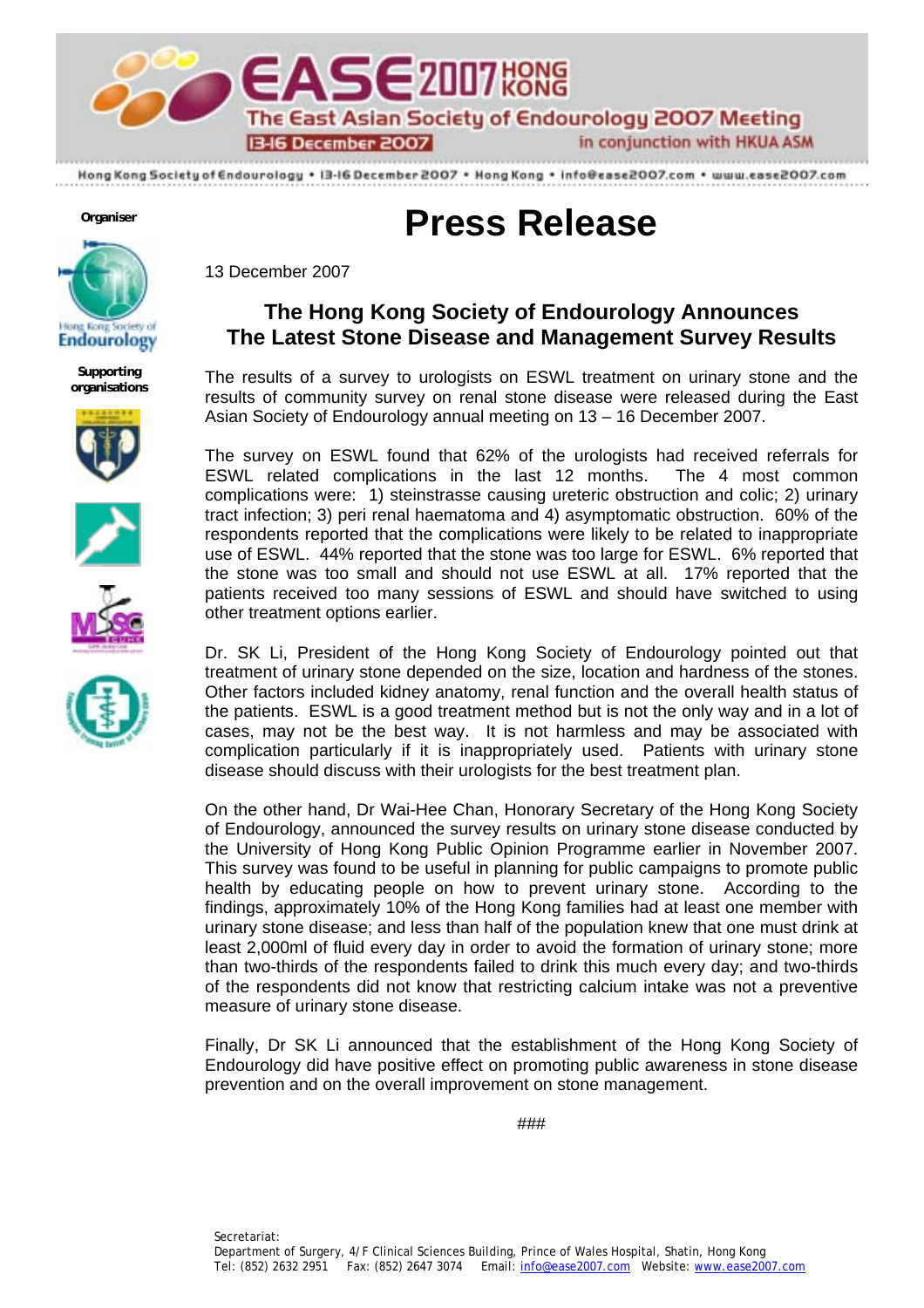

Hong Kong Society of Endourology . 13-16 December 2007 . Hong Kong . info@ease2007.com . www.ease2007.com

**Organiser** 



**Supporting organisations** 









## **Press Release**

13 December 2007

## **The Hong Kong Society of Endourology Announces The Latest Stone Disease and Management Survey Results**

The results of a survey to urologists on ESWL treatment on urinary stone and the results of community survey on renal stone disease were released during the East Asian Society of Endourology annual meeting on 13 – 16 December 2007.

The survey on ESWL found that 62% of the urologists had received referrals for ESWL related complications in the last 12 months. The 4 most common complications were: 1) steinstrasse causing ureteric obstruction and colic; 2) urinary tract infection; 3) peri renal haematoma and 4) asymptomatic obstruction. 60% of the respondents reported that the complications were likely to be related to inappropriate use of ESWL. 44% reported that the stone was too large for ESWL. 6% reported that the stone was too small and should not use ESWL at all. 17% reported that the patients received too many sessions of ESWL and should have switched to using other treatment options earlier.

Dr. SK Li, President of the Hong Kong Society of Endourology pointed out that treatment of urinary stone depended on the size, location and hardness of the stones. Other factors included kidney anatomy, renal function and the overall health status of the patients. ESWL is a good treatment method but is not the only way and in a lot of cases, may not be the best way. It is not harmless and may be associated with complication particularly if it is inappropriately used. Patients with urinary stone disease should discuss with their urologists for the best treatment plan.

On the other hand, Dr Wai-Hee Chan, Honorary Secretary of the Hong Kong Society of Endourology, announced the survey results on urinary stone disease conducted by the University of Hong Kong Public Opinion Programme earlier in November 2007. This survey was found to be useful in planning for public campaigns to promote public health by educating people on how to prevent urinary stone. According to the findings, approximately 10% of the Hong Kong families had at least one member with urinary stone disease; and less than half of the population knew that one must drink at least 2,000ml of fluid every day in order to avoid the formation of urinary stone; more than two-thirds of the respondents failed to drink this much every day; and two-thirds of the respondents did not know that restricting calcium intake was not a preventive measure of urinary stone disease.

Finally, Dr SK Li announced that the establishment of the Hong Kong Society of Endourology did have positive effect on promoting public awareness in stone disease prevention and on the overall improvement on stone management.

###